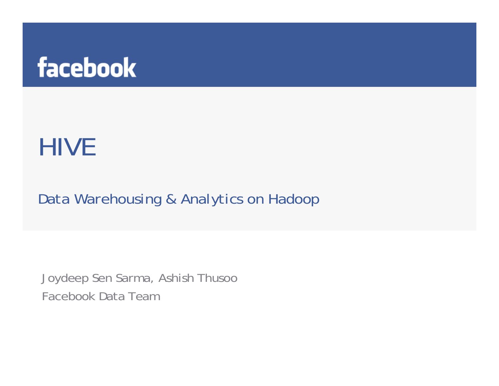

# HIVE

*Data Warehousing & Analytics on Hadoop*

Joydeep Sen Sarma, Ashish Thusoo Facebook Data Team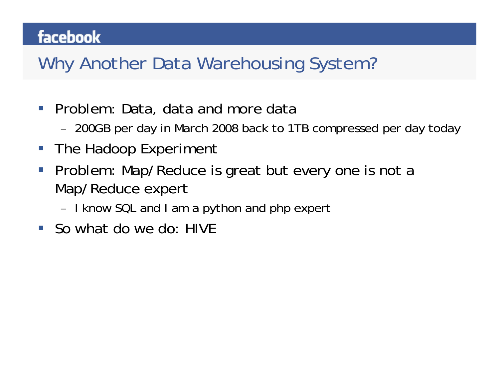## Why Another Data Warehousing System?

- $\mathcal{L}_{\mathcal{A}}$  Problem: Data, data and more data
	- –200GB per day in March 2008 back to 1TB compressed per day today
- $\mathcal{L}^{\text{max}}$ The Hadoop Experiment
- $\mathcal{L}_{\mathcal{A}}$  Problem: Map/Reduce is great but every one is not a Map/Reduce expert
	- –I know SQL and I am a python and php expert
- So what do we do: HIVE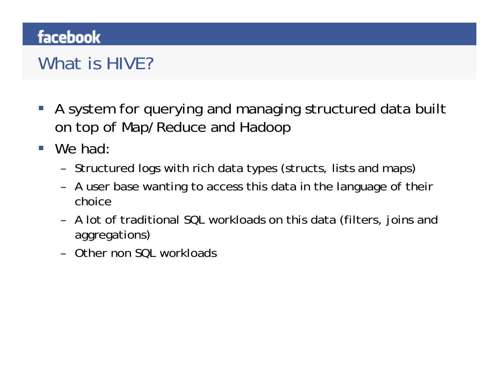## What is HIVE?

- $\mathcal{L}_{\mathcal{A}}$  A system for querying and managing structured data built on top of Map/Reduce and Hadoop
- We had:
	- –Structured logs with rich data types (structs, lists and maps)
	- – A user base wanting to access this data in the language of their choice
	- – A lot of traditional SQL workloads on this data (filters, joins and aggregations)
	- –Other non SQL workloads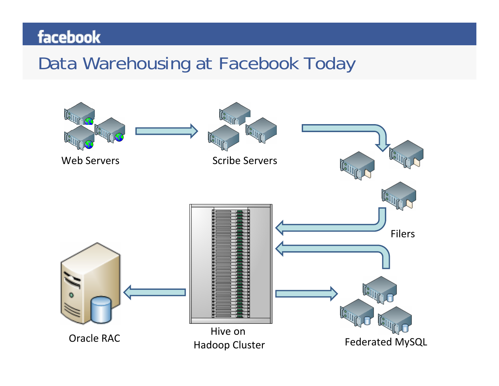## Data Warehousing at Facebook Today

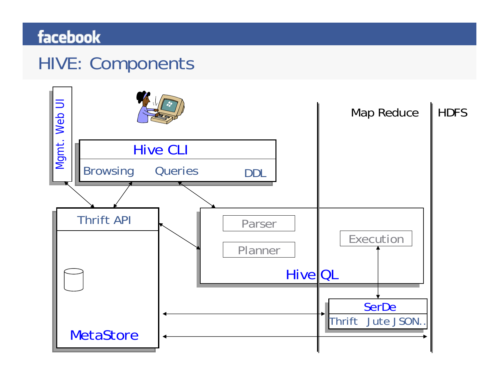## HIVE: Components

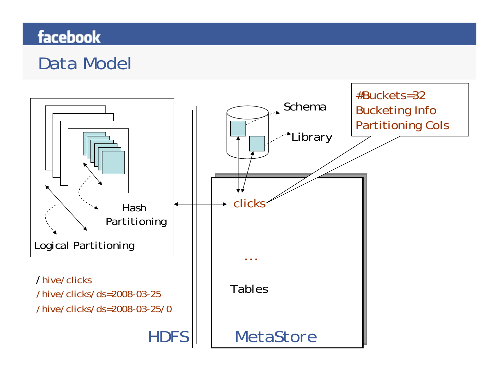## Data Model

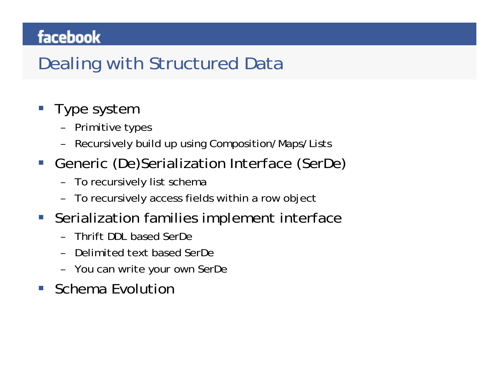## Dealing with Structured Data

- **Type system** 
	- –Primitive types
	- –Recursively build up using Composition/Maps/Lists
- $\mathbb{R}^n$  Generic (De)Serialization Interface (SerDe)
	- –To recursively list schema
	- –To recursively access fields within a row object
- $\mathcal{L}_{\text{max}}$  Serialization families implement interface
	- –Thrift DDL based SerDe
	- –Delimited text based SerDe
	- –You can write your own SerDe
- I. Schema Evolution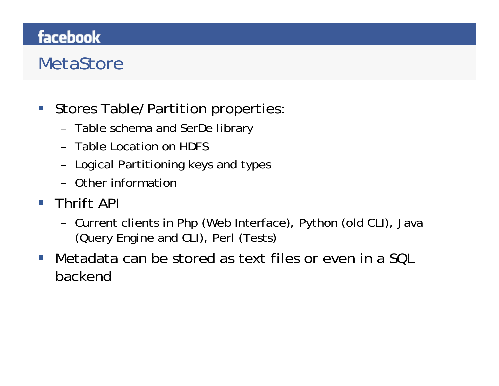## **MetaStore**

- $\mathbb{R}^n$  Stores Table/Partition properties:
	- –Table schema and SerDe library
	- Table Location on HDFS
	- –Logical Partitioning keys and types
	- Other information
- **Thrift API** 
	- – Current clients in Php (Web Interface), Python (old CLI), Java (Query Engine and CLI), Perl (Tests)
- $\mathcal{L}^{\text{max}}$  Metadata can be stored as text files or even in a SQL backend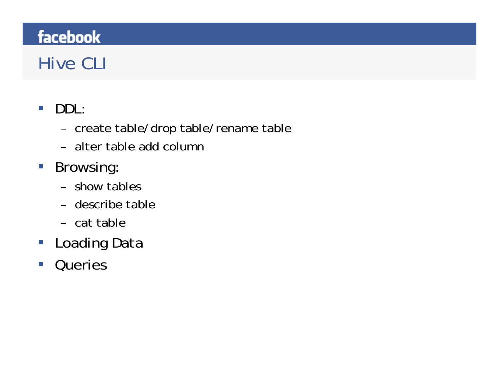## Hive CLI

- $\mathcal{L}_{\mathcal{A}}$  DDL:
	- –create table/drop table/rename table
	- alter table add column
- **Browsing:** 
	- show tables
	- describe table
	- cat table
- Loading Data
- $\mathcal{C}^{\mathcal{A}}$ **Queries**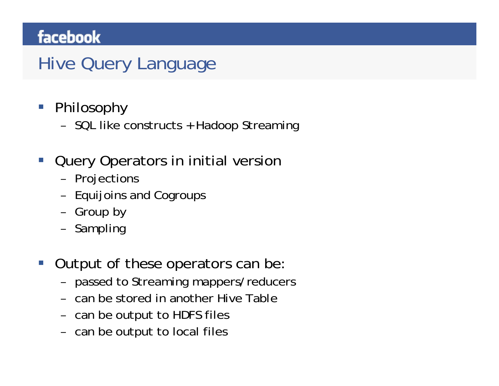## Hive Query Language

- Philosophy
	- –SQL like constructs + Hadoop Streaming
- I. Query Operators in initial version
	- –Projections
	- –Equijoins and Cogroups
	- –Group by
	- –Sampling
- I. Output of these operators can be:
	- –passed to Streaming mappers/reducers
	- can be stored in another Hive Table
	- –can be output to HDFS files
	- –can be output to local files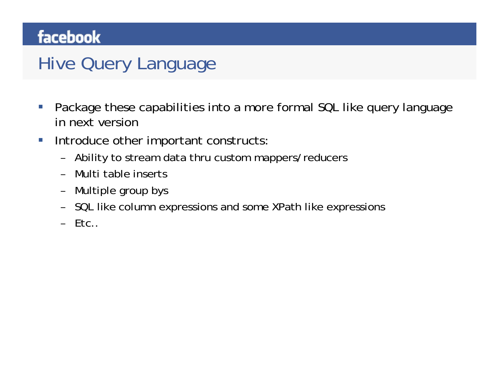## Hive Query Language

- $\mathcal{C}^{\mathcal{A}}$  Package these capabilities into a more formal SQL like query language in next version
- $\mathcal{L}_{\mathcal{A}}$  Introduce other important constructs:
	- –Ability to stream data thru custom mappers/reducers
	- –Multi table inserts
	- –Multiple group bys
	- –SQL like column expressions and some XPath like expressions
	- Etc..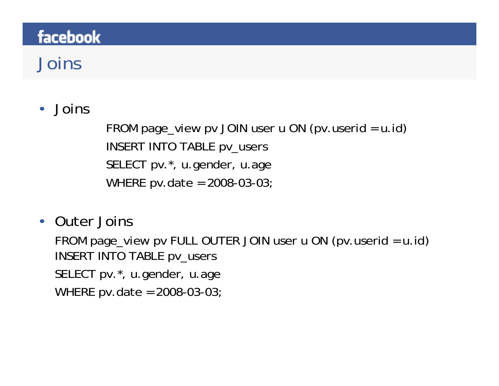## Joins

#### •Joins

FROM page\_view pv JOIN user u ON (pv.userid = u.id) INSERT INTO TABLE pv\_users SELECT pv.\*, u.gender, u.age WHERE pv.date = 2008-03-03;

#### • Outer Joins

FROM page\_view pv FULL OUTER JOIN user u ON (pv.userid = u.id) INSERT INTO TABLE pv\_users SELECT pv.\*, u.gender, u.age WHERE pv.date = 2008-03-03;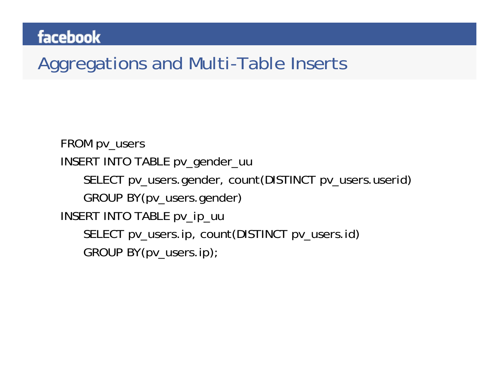## Aggregations and Multi-Table Inserts

FROM pv\_users INSERT INTO TABLE pv\_gender\_uu SELECT pv\_users.gender, count(DISTINCT pv\_users.userid) GROUP BY(pv\_users.gender) INSERT INTO TABLE pv\_ip\_uu SELECT pv\_users.ip, count(DISTINCT pv\_users.id) GROUP BY(pv\_users.ip);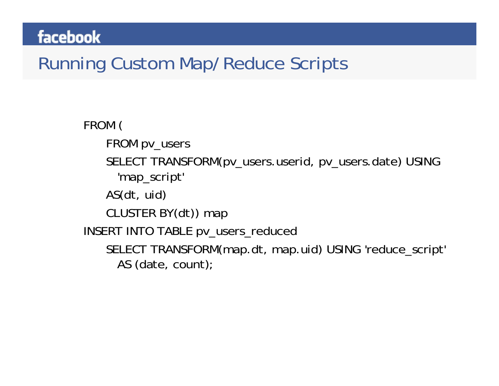## Running Custom Map/Reduce Scripts

FROM ( FROM pv\_users SELECT TRANSFORM(pv\_users.userid, pv\_users.date) USING 'map\_script' AS(dt, uid) CLUSTER BY(dt)) map INSERT INTO TABLE pv\_users\_reduced SELECT TRANSFORM(map.dt, map.uid) USING 'reduce\_script' AS (date, count);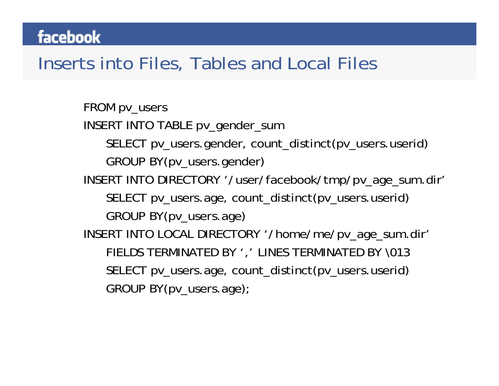#### Inserts into Files, Tables and Local Files

FROM pv\_users INSERT INTO TABLE pv\_gender\_sum SELECT pv\_users.gender, count\_distinct(pv\_users.userid) GROUP BY(pv\_users.gender) INSERT INTO DIRECTORY '/user/facebook/tmp/pv\_age\_sum.dir' SELECT pv\_users.age, count\_distinct(pv\_users.userid) GROUP BY(pv\_users.age) INSERT INTO LOCAL DIRECTORY '/home/me/pv\_age\_sum.dir' FIELDS TERMINATED BY ',' LINES TERMINATED BY \013 SELECT pv\_users.age, count\_distinct(pv\_users.userid) GROUP BY(pv\_users.age);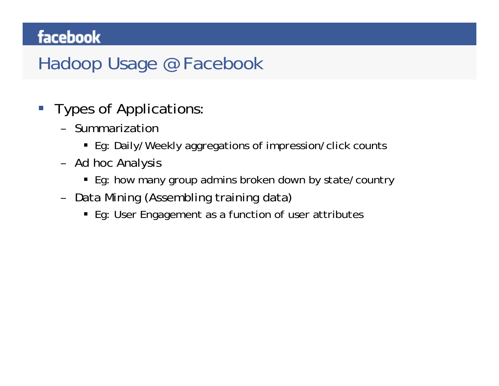## Hadoop Usage @ Facebook

- $\overline{\mathbb{R}}$  Types of Applications:
	- Summarization
		- Eg: Daily/Weekly aggregations of impression/click counts
	- – Ad hoc Analysis
		- Eg: how many group admins broken down by state/country
	- – Data Mining (Assembling training data)
		- Eg: User Engagement as a function of user attributes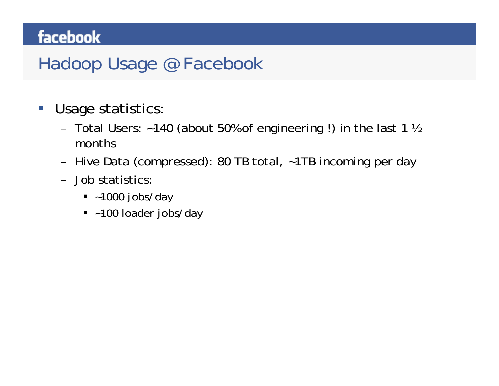## Hadoop Usage @ Facebook

- $\mathcal{L}_{\mathcal{A}}$  Usage statistics:
	- – Total Users: ~140 (about 50% of engineering !) in the last 1 ½ months
	- –Hive Data (compressed): 80 TB total, ~1TB incoming per day
	- Job statistics:
		- ~1000 jobs/day
		- ~100 loader jobs/day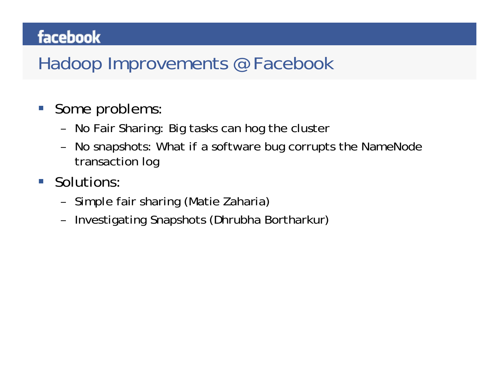## Hadoop Improvements @ Facebook

- $\mathbb{R}^n$  Some problems:
	- –No Fair Sharing: Big tasks can hog the cluster
	- – No snapshots: What if a software bug corrupts the NameNode transaction log
- $\mathcal{L}^{\mathcal{A}}$  Solutions:
	- –Simple fair sharing (Matie Zaharia)
	- –Investigating Snapshots (Dhrubha Bortharkur)